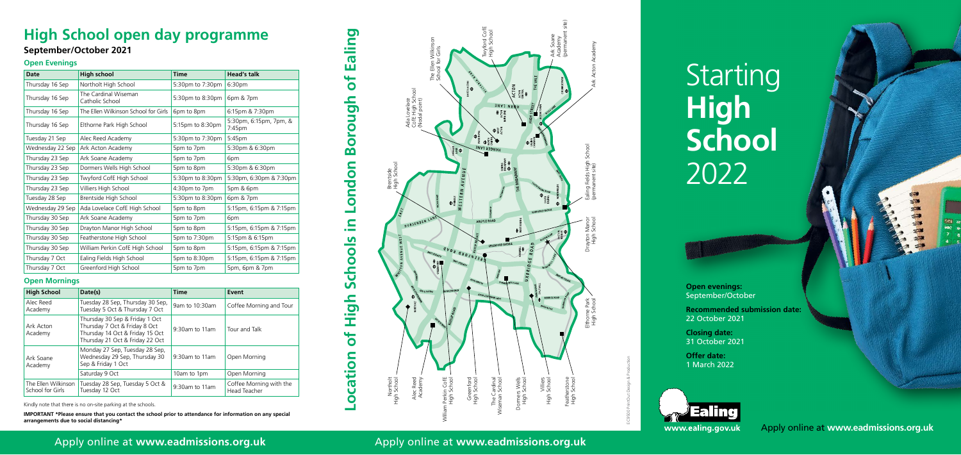# Starting **High School** 2022

**Open evenings:**  September/October

**Recommended submission date:**  22 October 2021

**Closing date:**  31 October 2021

**Offer date:**  1 March 2022

EC9500 PrintOut Design & Production



## **High School open day programme**

### **September/October 2021**



Kindly note that there is no on-site parking at the schools.

**IMPORTANT \*Please ensure that you contact the school prior to attendance for information on any special arrangements due to social distancing\***

Apply online at **www.eadmissions.org.uk**

#### **Open Evenings**

| <b>Date</b>      | <b>High school</b>                      | <b>Time</b>      | <b>Head's talk</b>               |
|------------------|-----------------------------------------|------------------|----------------------------------|
| Thursday 16 Sep  | Northolt High School                    | 5:30pm to 7:30pm | 6:30pm                           |
| Thursday 16 Sep  | The Cardinal Wiseman<br>Catholic School | 5:30pm to 8:30pm | 6pm & 7pm                        |
| Thursday 16 Sep  | The Ellen Wilkinson School for Girls    | 6pm to 8pm       | 6:15pm & 7:30pm                  |
| Thursday 16 Sep  | Elthorne Park High School               | 5:15pm to 8:30pm | 5:30pm, 6:15pm, 7pm, &<br>7:45pm |
| Tuesday 21 Sep   | Alec Reed Academy                       | 5:30pm to 7:30pm | 5:45pm                           |
| Wednesday 22 Sep | Ark Acton Academy                       | 5pm to 7pm       | 5:30pm & 6:30pm                  |
| Thursday 23 Sep  | Ark Soane Academy                       | 5pm to 7pm       | 6pm                              |
| Thursday 23 Sep  | Dormers Wells High School               | 5pm to 8pm       | 5:30pm & 6:30pm                  |
| Thursday 23 Sep  | Twyford CofE High School                | 5:30pm to 8:30pm | 5:30pm, 6:30pm & 7:30pm          |
| Thursday 23 Sep  | Villiers High School                    | 4:30pm to 7pm    | 5pm & 6pm                        |
| Tuesday 28 Sep   | Brentside High School                   | 5:30pm to 8:30pm | 6pm & 7pm                        |
| Wednesday 29 Sep | Ada Lovelace CofE High School           | 5pm to 8pm       | 5:15pm, 6:15pm & 7:15pm          |
| Thursday 30 Sep  | Ark Soane Academy                       | 5pm to 7pm       | 6pm                              |
| Thursday 30 Sep  | Drayton Manor High School               | 5pm to 8pm       | 5:15pm, 6:15pm & 7:15pm          |
| Thursday 30 Sep  | Featherstone High School                | 5pm to 7:30pm    | 5:15pm & 6:15pm                  |
| Thursday 30 Sep  | William Perkin CofE High School         | 5pm to 8pm       | 5:15pm, 6:15pm & 7:15pm          |
| Thursday 7 Oct   | Ealing Fields High School               | 5pm to 8:30pm    | 5:15pm, 6:15pm & 7:15pm          |
| Thursday 7 Oct   | Greenford High School                   | 5pm to 7pm       | 5pm, 6pm & 7pm                   |

#### **Open Mornings**

| <b>High School</b>                      | Date(s)                                                                                                                               | <b>Time</b>       | Event                                          |
|-----------------------------------------|---------------------------------------------------------------------------------------------------------------------------------------|-------------------|------------------------------------------------|
| Alec Reed<br>Academy                    | Tuesday 28 Sep, Thursday 30 Sep,<br>Tuesday 5 Oct & Thursday 7 Oct                                                                    | 9am to 10:30am    | Coffee Morning and Tour                        |
| Ark Acton<br>Academy                    | Thursday 30 Sep & Friday 1 Oct<br>Thursday 7 Oct & Friday 8 Oct<br>Thursday 14 Oct & Friday 15 Oct<br>Thursday 21 Oct & Friday 22 Oct | $9:30$ am to 11am | Tour and Talk                                  |
| Ark Soane<br>Academy                    | Monday 27 Sep, Tuesday 28 Sep,<br>Wednesday 29 Sep, Thursday 30<br>Sep & Friday 1 Oct                                                 | $9:30$ am to 11am | Open Morning                                   |
|                                         | Saturday 9 Oct                                                                                                                        | 10am to 1pm       | Open Morning                                   |
| The Ellen Wilkinson<br>School for Girls | Tuesday 28 Sep, Tuesday 5 Oct &<br>Tuesday 12 Oct                                                                                     | 9:30am to 11am    | Coffee Morning with the<br><b>Head Teacher</b> |